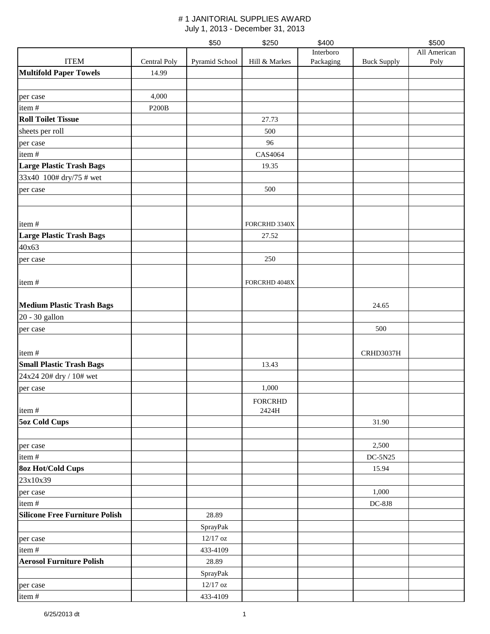|                                       |              | \$50           | \$250          | \$400     |                    | \$500        |
|---------------------------------------|--------------|----------------|----------------|-----------|--------------------|--------------|
|                                       |              |                |                | Interboro |                    | All American |
| <b>ITEM</b>                           | Central Poly | Pyramid School | Hill & Markes  | Packaging | <b>Buck Supply</b> | Poly         |
| <b>Multifold Paper Towels</b>         | 14.99        |                |                |           |                    |              |
|                                       | 4,000        |                |                |           |                    |              |
| per case<br>item#                     | <b>P200B</b> |                |                |           |                    |              |
| <b>Roll Toilet Tissue</b>             |              |                | 27.73          |           |                    |              |
| sheets per roll                       |              |                | 500            |           |                    |              |
| per case                              |              |                | 96             |           |                    |              |
| item#                                 |              |                | CAS4064        |           |                    |              |
| <b>Large Plastic Trash Bags</b>       |              |                | 19.35          |           |                    |              |
| 33x40 100# dry/75 # wet               |              |                |                |           |                    |              |
| per case                              |              |                | 500            |           |                    |              |
|                                       |              |                |                |           |                    |              |
| item#                                 |              |                | FORCRHD 3340X  |           |                    |              |
| <b>Large Plastic Trash Bags</b>       |              |                | 27.52          |           |                    |              |
| 40x63                                 |              |                |                |           |                    |              |
|                                       |              |                | 250            |           |                    |              |
| per case                              |              |                |                |           |                    |              |
| item#                                 |              |                | FORCRHD 4048X  |           |                    |              |
| <b>Medium Plastic Trash Bags</b>      |              |                |                |           | 24.65              |              |
| 20 - 30 gallon                        |              |                |                |           |                    |              |
| per case                              |              |                |                |           | 500                |              |
|                                       |              |                |                |           |                    |              |
| item#                                 |              |                |                |           | CRHD3037H          |              |
| <b>Small Plastic Trash Bags</b>       |              |                | 13.43          |           |                    |              |
| 24x24 20# dry / 10# wet               |              |                |                |           |                    |              |
| per case                              |              |                | 1,000          |           |                    |              |
|                                       |              |                | <b>FORCRHD</b> |           |                    |              |
| item#                                 |              |                | 2424H          |           |                    |              |
| <b>5oz Cold Cups</b>                  |              |                |                |           | 31.90              |              |
|                                       |              |                |                |           |                    |              |
| per case                              |              |                |                |           | 2,500              |              |
| item#                                 |              |                |                |           | DC-5N25            |              |
| <b>8oz Hot/Cold Cups</b>              |              |                |                |           | 15.94              |              |
| 23x10x39                              |              |                |                |           |                    |              |
| per case                              |              |                |                |           | 1,000              |              |
| item#                                 |              |                |                |           | $DC-8J8$           |              |
| <b>Silicone Free Furniture Polish</b> |              | 28.89          |                |           |                    |              |
|                                       |              | SprayPak       |                |           |                    |              |
| per case                              |              | $12/17$ oz     |                |           |                    |              |
| item#                                 |              | 433-4109       |                |           |                    |              |
| <b>Aerosol Furniture Polish</b>       |              | 28.89          |                |           |                    |              |
|                                       |              | SprayPak       |                |           |                    |              |
| per case                              |              | $12/17$ oz     |                |           |                    |              |
| item#                                 |              | 433-4109       |                |           |                    |              |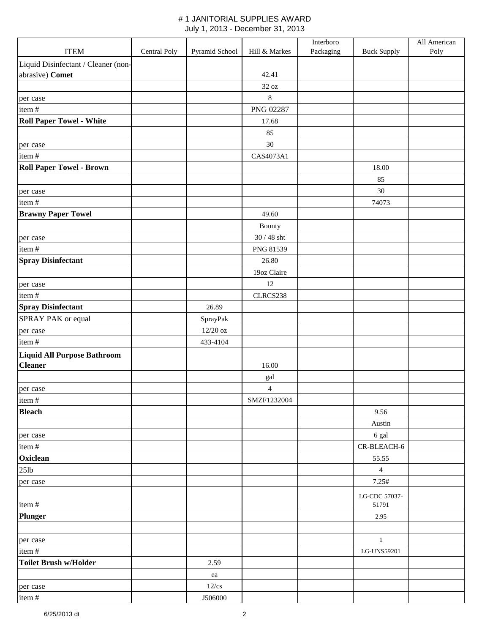|                                                      |              |                |                               | Interboro |                        | All American |
|------------------------------------------------------|--------------|----------------|-------------------------------|-----------|------------------------|--------------|
| <b>ITEM</b>                                          | Central Poly | Pyramid School | Hill & Markes                 | Packaging | <b>Buck Supply</b>     | Poly         |
| Liquid Disinfectant / Cleaner (non-                  |              |                |                               |           |                        |              |
| abrasive) Comet                                      |              |                | 42.41                         |           |                        |              |
|                                                      |              |                | 32 oz                         |           |                        |              |
| per case                                             |              |                | $\,8\,$                       |           |                        |              |
| item#                                                |              |                | <b>PNG 02287</b>              |           |                        |              |
| <b>Roll Paper Towel - White</b>                      |              |                | 17.68                         |           |                        |              |
|                                                      |              |                | 85                            |           |                        |              |
| per case                                             |              |                | $30\,$                        |           |                        |              |
| item#                                                |              |                | CAS4073A1                     |           |                        |              |
| <b>Roll Paper Towel - Brown</b>                      |              |                |                               |           | 18.00                  |              |
|                                                      |              |                |                               |           | 85                     |              |
| per case                                             |              |                |                               |           | $30\,$                 |              |
| item#                                                |              |                |                               |           | 74073                  |              |
| <b>Brawny Paper Towel</b>                            |              |                | 49.60                         |           |                        |              |
|                                                      |              |                | Bounty                        |           |                        |              |
| per case                                             |              |                | $30/48$ sht                   |           |                        |              |
| item#                                                |              |                | PNG 81539                     |           |                        |              |
| <b>Spray Disinfectant</b>                            |              |                | 26.80                         |           |                        |              |
|                                                      |              |                | 19oz Claire                   |           |                        |              |
| per case                                             |              |                | 12                            |           |                        |              |
| item#                                                |              |                | CLRCS238                      |           |                        |              |
| <b>Spray Disinfectant</b>                            |              | 26.89          |                               |           |                        |              |
| SPRAY PAK or equal                                   |              | SprayPak       |                               |           |                        |              |
| per case                                             |              | $12/20$ oz     |                               |           |                        |              |
| item#                                                |              | 433-4104       |                               |           |                        |              |
| <b>Liquid All Purpose Bathroom</b><br><b>Cleaner</b> |              |                | 16.00                         |           |                        |              |
|                                                      |              |                |                               |           |                        |              |
|                                                      |              |                | gal                           |           |                        |              |
| per case<br>item#                                    |              |                | $\overline{4}$<br>SMZF1232004 |           |                        |              |
| <b>Bleach</b>                                        |              |                |                               |           | 9.56                   |              |
|                                                      |              |                |                               |           | Austin                 |              |
| per case                                             |              |                |                               |           | 6 gal                  |              |
| item#                                                |              |                |                               |           | CR-BLEACH-6            |              |
| Oxiclean                                             |              |                |                               |           | 55.55                  |              |
| $25$ lb                                              |              |                |                               |           | $\overline{4}$         |              |
| per case                                             |              |                |                               |           | 7.25#                  |              |
|                                                      |              |                |                               |           |                        |              |
| item#                                                |              |                |                               |           | LG-CDC 57037-<br>51791 |              |
| <b>Plunger</b>                                       |              |                |                               |           | 2.95                   |              |
|                                                      |              |                |                               |           |                        |              |
| per case                                             |              |                |                               |           | $\mathbf{1}$           |              |
| item#                                                |              |                |                               |           | LG-UNS59201            |              |
| <b>Toilet Brush w/Holder</b>                         |              | 2.59           |                               |           |                        |              |
|                                                      |              | ea             |                               |           |                        |              |
| per case                                             |              | $12$ /cs       |                               |           |                        |              |
| item#                                                |              | J506000        |                               |           |                        |              |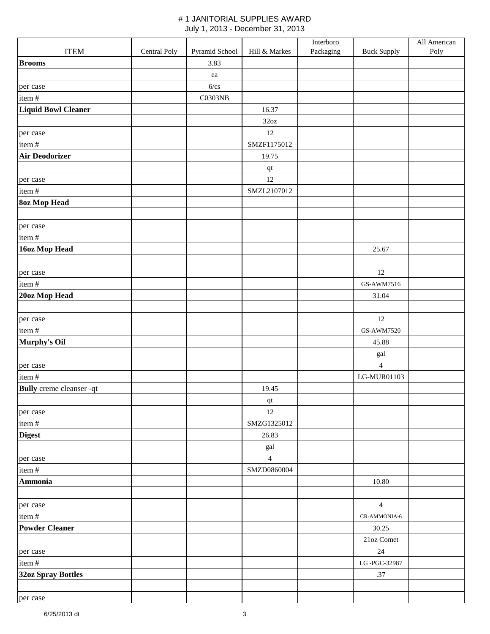|                                 |              |                |                             | Interboro |                    | All American |
|---------------------------------|--------------|----------------|-----------------------------|-----------|--------------------|--------------|
| <b>ITEM</b>                     | Central Poly | Pyramid School | Hill & Markes               | Packaging | <b>Buck Supply</b> | Poly         |
| <b>Brooms</b>                   |              | 3.83           |                             |           |                    |              |
|                                 |              | ea             |                             |           |                    |              |
| per case                        |              | 6/cs           |                             |           |                    |              |
| item#                           |              | <b>C0303NB</b> |                             |           |                    |              |
| <b>Liquid Bowl Cleaner</b>      |              |                | 16.37                       |           |                    |              |
|                                 |              |                | 32oz                        |           |                    |              |
| per case                        |              |                | 12                          |           |                    |              |
| item#                           |              |                | SMZF1175012                 |           |                    |              |
| <b>Air Deodorizer</b>           |              |                | 19.75                       |           |                    |              |
|                                 |              |                | qt                          |           |                    |              |
| per case                        |              |                | 12                          |           |                    |              |
| item#                           |              |                | SMZL2107012                 |           |                    |              |
| <b>8oz Mop Head</b>             |              |                |                             |           |                    |              |
|                                 |              |                |                             |           |                    |              |
| per case                        |              |                |                             |           |                    |              |
| item#                           |              |                |                             |           |                    |              |
| 16oz Mop Head                   |              |                |                             |           | 25.67              |              |
|                                 |              |                |                             |           |                    |              |
|                                 |              |                |                             |           | 12                 |              |
| per case                        |              |                |                             |           |                    |              |
| item#                           |              |                |                             |           | GS-AWM7516         |              |
| 20oz Mop Head                   |              |                |                             |           | 31.04              |              |
|                                 |              |                |                             |           |                    |              |
| per case                        |              |                |                             |           | 12                 |              |
| item#                           |              |                |                             |           | GS-AWM7520         |              |
| Murphy's Oil                    |              |                |                             |           | 45.88              |              |
|                                 |              |                |                             |           | gal                |              |
| per case                        |              |                |                             |           | $\overline{4}$     |              |
| item#                           |              |                |                             |           | LG-MUR01103        |              |
| <b>Bully</b> creme cleanser -qt |              |                | 19.45                       |           |                    |              |
|                                 |              |                | $\bf qt$                    |           |                    |              |
| per case                        |              |                | 12                          |           |                    |              |
| item#                           |              |                | SMZG1325012                 |           |                    |              |
| <b>Digest</b>                   |              |                | 26.83                       |           |                    |              |
|                                 |              |                | $\ensuremath{\mathrm{gal}}$ |           |                    |              |
| per case                        |              |                | $\overline{4}$              |           |                    |              |
| item#                           |              |                | SMZD0860004                 |           |                    |              |
| Ammonia                         |              |                |                             |           | 10.80              |              |
|                                 |              |                |                             |           |                    |              |
| per case                        |              |                |                             |           | $\overline{4}$     |              |
| item#                           |              |                |                             |           | CR-AMMONIA-6       |              |
| <b>Powder Cleaner</b>           |              |                |                             |           | 30.25              |              |
|                                 |              |                |                             |           | 21oz Comet         |              |
| per case                        |              |                |                             |           | 24                 |              |
| item#                           |              |                |                             |           | LG-PGC-32987       |              |
| <b>32oz Spray Bottles</b>       |              |                |                             |           | .37                |              |
|                                 |              |                |                             |           |                    |              |
| per case                        |              |                |                             |           |                    |              |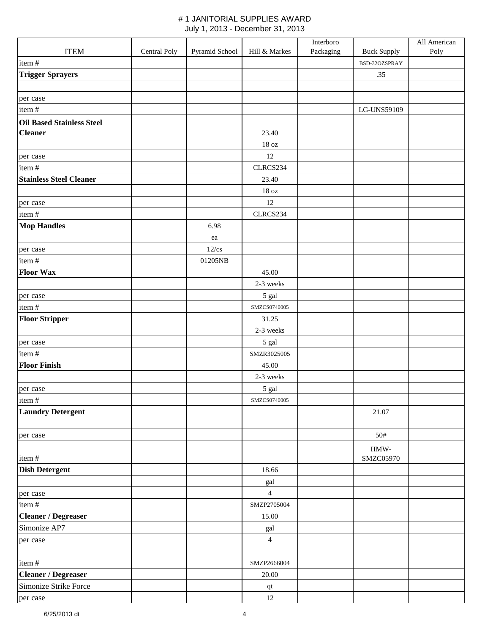|                                  |              |                |                        | Interboro |                       | All American |
|----------------------------------|--------------|----------------|------------------------|-----------|-----------------------|--------------|
| <b>ITEM</b>                      | Central Poly | Pyramid School | Hill & Markes          | Packaging | <b>Buck Supply</b>    | Poly         |
| item#                            |              |                |                        |           | BSD-32OZSPRAY         |              |
| <b>Trigger Sprayers</b>          |              |                |                        |           | .35                   |              |
|                                  |              |                |                        |           |                       |              |
| per case                         |              |                |                        |           |                       |              |
| item#                            |              |                |                        |           | LG-UNS59109           |              |
| <b>Oil Based Stainless Steel</b> |              |                |                        |           |                       |              |
| <b>Cleaner</b>                   |              |                | 23.40                  |           |                       |              |
|                                  |              |                | $18\,\mathrm{oz}$      |           |                       |              |
| per case                         |              |                | 12                     |           |                       |              |
| item#                            |              |                | CLRCS234               |           |                       |              |
| <b>Stainless Steel Cleaner</b>   |              |                | 23.40                  |           |                       |              |
|                                  |              |                | $18\,\mathrm{oz}$      |           |                       |              |
| per case                         |              |                | $12\,$                 |           |                       |              |
| item#                            |              |                | CLRCS234               |           |                       |              |
| <b>Mop Handles</b>               |              | 6.98           |                        |           |                       |              |
|                                  |              | ea             |                        |           |                       |              |
| per case                         |              | $12$ /cs       |                        |           |                       |              |
| item#                            |              | 01205NB        |                        |           |                       |              |
| <b>Floor Wax</b>                 |              |                | 45.00                  |           |                       |              |
|                                  |              |                | 2-3 weeks              |           |                       |              |
| per case                         |              |                | 5 gal                  |           |                       |              |
| item#                            |              |                | SMZCS0740005           |           |                       |              |
| <b>Floor Stripper</b>            |              |                | 31.25                  |           |                       |              |
|                                  |              |                | 2-3 weeks              |           |                       |              |
| per case                         |              |                | 5 gal                  |           |                       |              |
| item#                            |              |                | SMZR3025005            |           |                       |              |
| <b>Floor Finish</b>              |              |                | 45.00                  |           |                       |              |
|                                  |              |                | 2-3 weeks              |           |                       |              |
| per case                         |              |                | $5\ \mathrm{gal}$      |           |                       |              |
| item#                            |              |                | SMZCS0740005           |           |                       |              |
| <b>Laundry Detergent</b>         |              |                |                        |           | 21.07                 |              |
|                                  |              |                |                        |           |                       |              |
| per case                         |              |                |                        |           | 50#                   |              |
|                                  |              |                |                        |           | $\operatorname{HMW-}$ |              |
| item#                            |              |                |                        |           | SMZC05970             |              |
| <b>Dish Detergent</b>            |              |                | 18.66                  |           |                       |              |
|                                  |              |                | gal                    |           |                       |              |
| per case                         |              |                | $\overline{4}$         |           |                       |              |
| item#                            |              |                | SMZP2705004            |           |                       |              |
| <b>Cleaner / Degreaser</b>       |              |                | 15.00                  |           |                       |              |
| Simonize AP7                     |              |                | gal                    |           |                       |              |
| per case                         |              |                | $\overline{4}$         |           |                       |              |
|                                  |              |                |                        |           |                       |              |
| item#                            |              |                | SMZP2666004            |           |                       |              |
| <b>Cleaner / Degreaser</b>       |              |                | 20.00                  |           |                       |              |
| Simonize Strike Force            |              |                | $\mathbf{q}\mathbf{t}$ |           |                       |              |
| per case                         |              |                | $12\,$                 |           |                       |              |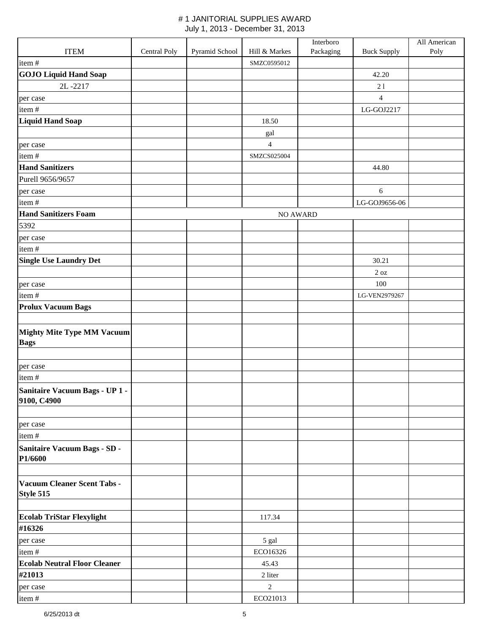|                                                  |              |                |                | Interboro |                    | All American |
|--------------------------------------------------|--------------|----------------|----------------|-----------|--------------------|--------------|
| <b>ITEM</b>                                      | Central Poly | Pyramid School | Hill & Markes  | Packaging | <b>Buck Supply</b> | Poly         |
| item#                                            |              |                | SMZC0595012    |           |                    |              |
| <b>GOJO Liquid Hand Soap</b>                     |              |                |                |           | 42.20              |              |
| 2L-2217                                          |              |                |                |           | 21                 |              |
| per case                                         |              |                |                |           | $\overline{4}$     |              |
| item#                                            |              |                |                |           | LG-GOJ2217         |              |
| <b>Liquid Hand Soap</b>                          |              |                | 18.50          |           |                    |              |
|                                                  |              |                | gal            |           |                    |              |
| per case                                         |              |                | $\overline{4}$ |           |                    |              |
| item#                                            |              |                | SMZCS025004    |           |                    |              |
| <b>Hand Sanitizers</b>                           |              |                |                |           | 44.80              |              |
| Purell 9656/9657                                 |              |                |                |           |                    |              |
| per case                                         |              |                |                |           | $\sqrt{6}$         |              |
| item#                                            |              |                |                |           | LG-GOJ9656-06      |              |
| <b>Hand Sanitizers Foam</b>                      |              |                | NO AWARD       |           |                    |              |
| 5392                                             |              |                |                |           |                    |              |
| per case                                         |              |                |                |           |                    |              |
| item#                                            |              |                |                |           |                    |              |
| <b>Single Use Laundry Det</b>                    |              |                |                |           | 30.21              |              |
|                                                  |              |                |                |           | $2\ \text{oz}$     |              |
| per case                                         |              |                |                |           | 100                |              |
| item#                                            |              |                |                |           | LG-VEN2979267      |              |
| <b>Prolux Vacuum Bags</b>                        |              |                |                |           |                    |              |
|                                                  |              |                |                |           |                    |              |
| <b>Mighty Mite Type MM Vacuum</b><br><b>Bags</b> |              |                |                |           |                    |              |
| per case                                         |              |                |                |           |                    |              |
| item#                                            |              |                |                |           |                    |              |
| Sanitaire Vacuum Bags - UP 1 -<br>9100, C4900    |              |                |                |           |                    |              |
| per case                                         |              |                |                |           |                    |              |
| item#                                            |              |                |                |           |                    |              |
| <b>Sanitaire Vacuum Bags - SD -</b><br>P1/6600   |              |                |                |           |                    |              |
| Vacuum Cleaner Scent Tabs -<br>Style 515         |              |                |                |           |                    |              |
| <b>Ecolab TriStar Flexylight</b>                 |              |                | 117.34         |           |                    |              |
| #16326                                           |              |                |                |           |                    |              |
| per case                                         |              |                | 5 gal          |           |                    |              |
| item#                                            |              |                | ECO16326       |           |                    |              |
| <b>Ecolab Neutral Floor Cleaner</b>              |              |                | 45.43          |           |                    |              |
| #21013                                           |              |                | 2 liter        |           |                    |              |
|                                                  |              |                | $\overline{2}$ |           |                    |              |
| per case                                         |              |                |                |           |                    |              |
| item#                                            |              |                | ECO21013       |           |                    |              |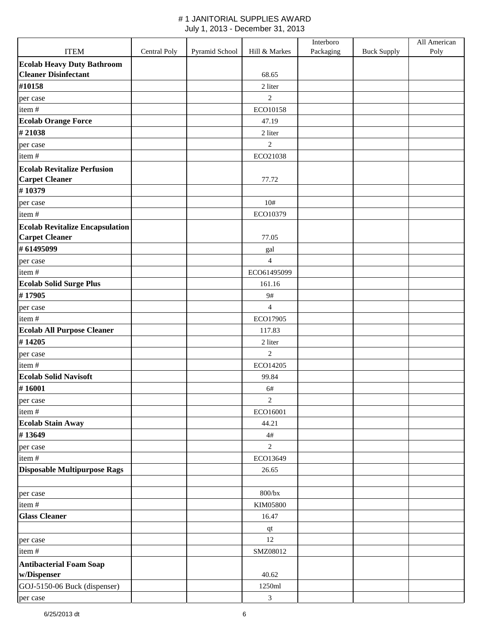|                                          |              |                |                             | Interboro |                    | All American |
|------------------------------------------|--------------|----------------|-----------------------------|-----------|--------------------|--------------|
| <b>ITEM</b>                              | Central Poly | Pyramid School | Hill & Markes               | Packaging | <b>Buck Supply</b> | Poly         |
| <b>Ecolab Heavy Duty Bathroom</b>        |              |                |                             |           |                    |              |
| <b>Cleaner Disinfectant</b>              |              |                | 68.65                       |           |                    |              |
| #10158                                   |              |                | 2 liter                     |           |                    |              |
| per case                                 |              |                | $\overline{c}$              |           |                    |              |
| item#                                    |              |                | ECO10158                    |           |                    |              |
| <b>Ecolab Orange Force</b>               |              |                | 47.19                       |           |                    |              |
| #21038                                   |              |                | 2 liter                     |           |                    |              |
| per case                                 |              |                | $\overline{c}$              |           |                    |              |
| item#                                    |              |                | ECO21038                    |           |                    |              |
| <b>Ecolab Revitalize Perfusion</b>       |              |                |                             |           |                    |              |
| <b>Carpet Cleaner</b>                    |              |                | 77.72                       |           |                    |              |
| #10379                                   |              |                |                             |           |                    |              |
| per case                                 |              |                | 10#                         |           |                    |              |
| item#                                    |              |                | ECO10379                    |           |                    |              |
| <b>Ecolab Revitalize Encapsulation</b>   |              |                | 77.05                       |           |                    |              |
| <b>Carpet Cleaner</b><br>#61495099       |              |                |                             |           |                    |              |
|                                          |              |                | $\ensuremath{\mathrm{gal}}$ |           |                    |              |
| per case                                 |              |                | $\overline{4}$              |           |                    |              |
| item#                                    |              |                | ECO61495099<br>161.16       |           |                    |              |
| <b>Ecolab Solid Surge Plus</b><br>#17905 |              |                | 9#                          |           |                    |              |
|                                          |              |                |                             |           |                    |              |
| per case<br>item#                        |              |                | $\overline{4}$<br>ECO17905  |           |                    |              |
| <b>Ecolab All Purpose Cleaner</b>        |              |                | 117.83                      |           |                    |              |
| #14205                                   |              |                | 2 liter                     |           |                    |              |
| per case                                 |              |                | $\overline{2}$              |           |                    |              |
| item#                                    |              |                | ECO14205                    |           |                    |              |
| <b>Ecolab Solid Navisoft</b>             |              |                | 99.84                       |           |                    |              |
| #16001                                   |              |                | 6#                          |           |                    |              |
| per case                                 |              |                | $\overline{c}$              |           |                    |              |
| item#                                    |              |                | ECO16001                    |           |                    |              |
| <b>Ecolab Stain Away</b>                 |              |                | 44.21                       |           |                    |              |
| #13649                                   |              |                | $4\#$                       |           |                    |              |
| per case                                 |              |                | $\overline{c}$              |           |                    |              |
| item#                                    |              |                | ECO13649                    |           |                    |              |
| <b>Disposable Multipurpose Rags</b>      |              |                | 26.65                       |           |                    |              |
|                                          |              |                |                             |           |                    |              |
| per case                                 |              |                | $800{\rm /bx}$              |           |                    |              |
| item#                                    |              |                | KIM05800                    |           |                    |              |
| <b>Glass Cleaner</b>                     |              |                | 16.47                       |           |                    |              |
|                                          |              |                | qt                          |           |                    |              |
| per case                                 |              |                | 12                          |           |                    |              |
| item#                                    |              |                | SMZ08012                    |           |                    |              |
| <b>Antibacterial Foam Soap</b>           |              |                |                             |           |                    |              |
| w/Dispenser                              |              |                | 40.62                       |           |                    |              |
| GOJ-5150-06 Buck (dispenser)             |              |                | 1250ml                      |           |                    |              |
| per case                                 |              |                | $\mathfrak{Z}$              |           |                    |              |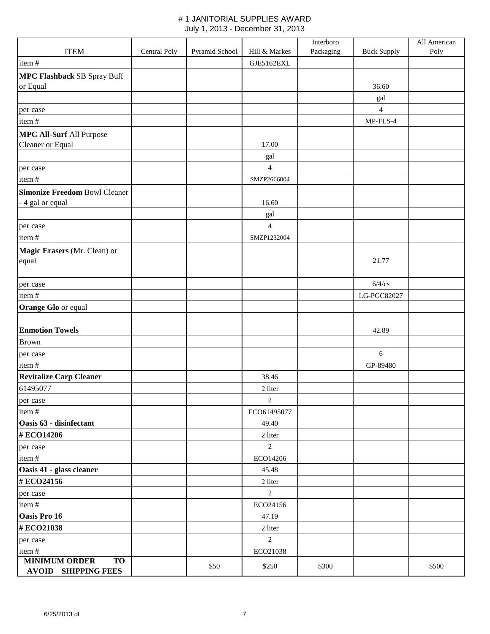|                                                                       |              |                |                | Interboro |                    | All American |
|-----------------------------------------------------------------------|--------------|----------------|----------------|-----------|--------------------|--------------|
| <b>ITEM</b>                                                           | Central Poly | Pyramid School | Hill & Markes  | Packaging | <b>Buck Supply</b> | Poly         |
| item#                                                                 |              |                | GJE5162EXL     |           |                    |              |
| <b>MPC Flashback SB Spray Buff</b>                                    |              |                |                |           |                    |              |
| or Equal                                                              |              |                |                |           | 36.60              |              |
|                                                                       |              |                |                |           | gal                |              |
| per case                                                              |              |                |                |           | $\overline{4}$     |              |
| item#                                                                 |              |                |                |           | MP-FLS-4           |              |
| <b>MPC All-Surf All Purpose</b>                                       |              |                |                |           |                    |              |
| Cleaner or Equal                                                      |              |                | 17.00          |           |                    |              |
|                                                                       |              |                | gal            |           |                    |              |
| per case                                                              |              |                | $\overline{4}$ |           |                    |              |
| item#                                                                 |              |                | SMZP2666004    |           |                    |              |
| <b>Simonize Freedom Bowl Cleaner</b>                                  |              |                |                |           |                    |              |
| - 4 gal or equal                                                      |              |                | 16.60          |           |                    |              |
|                                                                       |              |                | gal            |           |                    |              |
| per case                                                              |              |                | $\overline{4}$ |           |                    |              |
| item#                                                                 |              |                | SMZP1232004    |           |                    |              |
| Magic Erasers (Mr. Clean) or                                          |              |                |                |           |                    |              |
| equal                                                                 |              |                |                |           | 21.77              |              |
|                                                                       |              |                |                |           |                    |              |
| per case                                                              |              |                |                |           | $6/4$ /cs          |              |
| item#                                                                 |              |                |                |           | LG-PGC82027        |              |
| Orange Glo or equal                                                   |              |                |                |           |                    |              |
|                                                                       |              |                |                |           |                    |              |
| <b>Enmotion Towels</b>                                                |              |                |                |           | 42.89              |              |
| <b>Brown</b>                                                          |              |                |                |           |                    |              |
| per case                                                              |              |                |                |           | 6                  |              |
| item#                                                                 |              |                |                |           | GP-89480           |              |
| <b>Revitalize Carp Cleaner</b>                                        |              |                | 38.46          |           |                    |              |
| 61495077                                                              |              |                | 2 liter        |           |                    |              |
| per case                                                              |              |                | $\overline{2}$ |           |                    |              |
| item#                                                                 |              |                | ECO61495077    |           |                    |              |
| Oasis 63 - disinfectant                                               |              |                | 49.40          |           |                    |              |
| #ECO14206                                                             |              |                | 2 liter        |           |                    |              |
| per case                                                              |              |                | $\overline{2}$ |           |                    |              |
| item#                                                                 |              |                | ECO14206       |           |                    |              |
| Oasis 41 - glass cleaner                                              |              |                | 45.48          |           |                    |              |
| #ECO24156                                                             |              |                | 2 liter        |           |                    |              |
| per case                                                              |              |                | $\overline{2}$ |           |                    |              |
| item#                                                                 |              |                | ECO24156       |           |                    |              |
| Oasis Pro 16                                                          |              |                | 47.19          |           |                    |              |
| #ECO21038                                                             |              |                | 2 liter        |           |                    |              |
| per case                                                              |              |                | $\overline{2}$ |           |                    |              |
| item#                                                                 |              |                | ECO21038       |           |                    |              |
| <b>MINIMUM ORDER</b><br>$\overline{TO}$<br><b>AVOID SHIPPING FEES</b> |              | \$50           | \$250          | \$300     |                    | \$500        |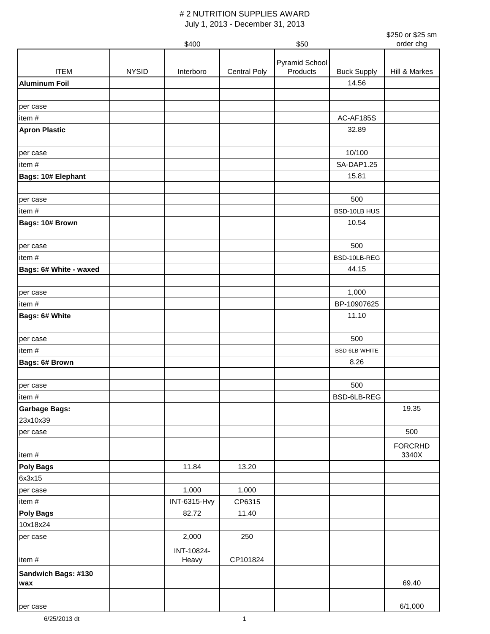|                        |              | \$400        |              | \$50           |                    | \$250 or \$25 sm<br>order chg |
|------------------------|--------------|--------------|--------------|----------------|--------------------|-------------------------------|
|                        |              |              |              |                |                    |                               |
|                        |              |              |              | Pyramid School |                    |                               |
| <b>ITEM</b>            | <b>NYSID</b> | Interboro    | Central Poly | Products       | <b>Buck Supply</b> | Hill & Markes                 |
| <b>Aluminum Foil</b>   |              |              |              |                | 14.56              |                               |
|                        |              |              |              |                |                    |                               |
| per case               |              |              |              |                |                    |                               |
| item#                  |              |              |              |                | AC-AF185S          |                               |
| <b>Apron Plastic</b>   |              |              |              |                | 32.89              |                               |
|                        |              |              |              |                |                    |                               |
| per case               |              |              |              |                | 10/100             |                               |
| item#                  |              |              |              |                | SA-DAP1.25         |                               |
| Bags: 10# Elephant     |              |              |              |                | 15.81              |                               |
|                        |              |              |              |                |                    |                               |
| per case               |              |              |              |                | 500                |                               |
| item#                  |              |              |              |                | BSD-10LB HUS       |                               |
| Bags: 10# Brown        |              |              |              |                | 10.54              |                               |
|                        |              |              |              |                |                    |                               |
| per case               |              |              |              |                | 500                |                               |
| item#                  |              |              |              |                | BSD-10LB-REG       |                               |
| Bags: 6# White - waxed |              |              |              |                | 44.15              |                               |
|                        |              |              |              |                | 1,000              |                               |
| per case<br>item#      |              |              |              |                | BP-10907625        |                               |
| Bags: 6# White         |              |              |              |                | 11.10              |                               |
|                        |              |              |              |                |                    |                               |
| per case               |              |              |              |                | 500                |                               |
| item#                  |              |              |              |                | BSD-6LB-WHITE      |                               |
| Bags: 6# Brown         |              |              |              |                | 8.26               |                               |
|                        |              |              |              |                |                    |                               |
| per case               |              |              |              |                | 500                |                               |
| item#                  |              |              |              |                | BSD-6LB-REG        |                               |
| <b>Garbage Bags:</b>   |              |              |              |                |                    | 19.35                         |
| 23x10x39               |              |              |              |                |                    |                               |
| per case               |              |              |              |                |                    | 500                           |
|                        |              |              |              |                |                    | <b>FORCRHD</b>                |
| item#                  |              |              |              |                |                    | 3340X                         |
| <b>Poly Bags</b>       |              | 11.84        | 13.20        |                |                    |                               |
| 6x3x15                 |              |              |              |                |                    |                               |
| per case               |              | 1,000        | 1,000        |                |                    |                               |
| item#                  |              | INT-6315-Hvy | CP6315       |                |                    |                               |
| <b>Poly Bags</b>       |              | 82.72        | 11.40        |                |                    |                               |
| 10x18x24               |              |              |              |                |                    |                               |
| per case               |              | 2,000        | 250          |                |                    |                               |
|                        |              | INT-10824-   |              |                |                    |                               |
| item#                  |              | Heavy        | CP101824     |                |                    |                               |
| Sandwich Bags: #130    |              |              |              |                |                    |                               |
| wax                    |              |              |              |                |                    | 69.40                         |
|                        |              |              |              |                |                    |                               |
| per case               |              |              |              |                |                    | 6/1,000                       |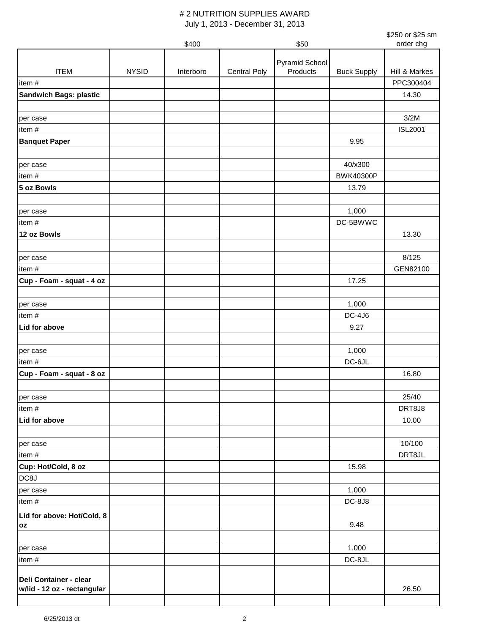|                               |              |           |                     |                       |                    | \$250 or \$25 sm |
|-------------------------------|--------------|-----------|---------------------|-----------------------|--------------------|------------------|
|                               |              | \$400     |                     | \$50                  |                    | order chg        |
|                               |              |           |                     | <b>Pyramid School</b> |                    |                  |
| <b>ITEM</b>                   | <b>NYSID</b> | Interboro | <b>Central Poly</b> | Products              | <b>Buck Supply</b> | Hill & Markes    |
| item#                         |              |           |                     |                       |                    | PPC300404        |
| <b>Sandwich Bags: plastic</b> |              |           |                     |                       |                    | 14.30            |
|                               |              |           |                     |                       |                    |                  |
| per case                      |              |           |                     |                       |                    | 3/2M             |
| item #                        |              |           |                     |                       |                    | <b>ISL2001</b>   |
| <b>Banquet Paper</b>          |              |           |                     |                       | 9.95               |                  |
|                               |              |           |                     |                       |                    |                  |
| per case                      |              |           |                     |                       | 40/x300            |                  |
| item#                         |              |           |                     |                       | <b>BWK40300P</b>   |                  |
| 5 oz Bowls                    |              |           |                     |                       | 13.79              |                  |
|                               |              |           |                     |                       |                    |                  |
| per case                      |              |           |                     |                       | 1,000              |                  |
| item#                         |              |           |                     |                       | DC-5BWWC           |                  |
| 12 oz Bowls                   |              |           |                     |                       |                    | 13.30            |
|                               |              |           |                     |                       |                    |                  |
| per case                      |              |           |                     |                       |                    | 8/125            |
| item#                         |              |           |                     |                       |                    | GEN82100         |
| Cup - Foam - squat - 4 oz     |              |           |                     |                       | 17.25              |                  |
|                               |              |           |                     |                       |                    |                  |
| per case                      |              |           |                     |                       | 1,000              |                  |
| item #                        |              |           |                     |                       | <b>DC-4J6</b>      |                  |
| Lid for above                 |              |           |                     |                       | 9.27               |                  |
|                               |              |           |                     |                       |                    |                  |
| per case                      |              |           |                     |                       | 1,000              |                  |
| item#                         |              |           |                     |                       | DC-6JL             |                  |
| Cup - Foam - squat - 8 oz     |              |           |                     |                       |                    | 16.80            |
| per case                      |              |           |                     |                       |                    | 25/40            |
| item#                         |              |           |                     |                       |                    | DRT8J8           |
| Lid for above                 |              |           |                     |                       |                    | 10.00            |
|                               |              |           |                     |                       |                    |                  |
| per case                      |              |           |                     |                       |                    | 10/100           |
| item#                         |              |           |                     |                       |                    | DRT8JL           |
| Cup: Hot/Cold, 8 oz           |              |           |                     |                       | 15.98              |                  |
| DC8J                          |              |           |                     |                       |                    |                  |
| per case                      |              |           |                     |                       | 1,000              |                  |
| item#                         |              |           |                     |                       | <b>DC-8J8</b>      |                  |
| Lid for above: Hot/Cold, 8    |              |           |                     |                       |                    |                  |
| OZ                            |              |           |                     |                       | 9.48               |                  |
|                               |              |           |                     |                       |                    |                  |
| per case                      |              |           |                     |                       | 1,000              |                  |
| item #                        |              |           |                     |                       | DC-8JL             |                  |
|                               |              |           |                     |                       |                    |                  |
| Deli Container - clear        |              |           |                     |                       |                    | 26.50            |
| w/lid - 12 oz - rectangular   |              |           |                     |                       |                    |                  |
|                               |              |           |                     |                       |                    |                  |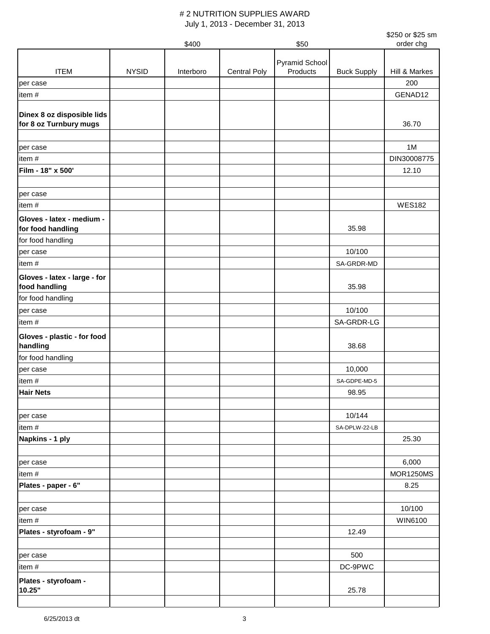|                              |              |           |                     |                |                    | \$250 or \$25 sm |
|------------------------------|--------------|-----------|---------------------|----------------|--------------------|------------------|
|                              |              | \$400     |                     | \$50           |                    | order chg        |
|                              |              |           |                     | Pyramid School |                    |                  |
| <b>ITEM</b>                  | <b>NYSID</b> | Interboro | <b>Central Poly</b> | Products       | <b>Buck Supply</b> | Hill & Markes    |
| per case                     |              |           |                     |                |                    | 200              |
| item#                        |              |           |                     |                |                    | GENAD12          |
| Dinex 8 oz disposible lids   |              |           |                     |                |                    |                  |
| for 8 oz Turnbury mugs       |              |           |                     |                |                    | 36.70            |
|                              |              |           |                     |                |                    |                  |
| per case                     |              |           |                     |                |                    | 1M               |
| item#                        |              |           |                     |                |                    | DIN30008775      |
| Film - 18" x 500'            |              |           |                     |                |                    | 12.10            |
|                              |              |           |                     |                |                    |                  |
| per case                     |              |           |                     |                |                    |                  |
| item#                        |              |           |                     |                |                    | <b>WES182</b>    |
| Gloves - latex - medium -    |              |           |                     |                |                    |                  |
| for food handling            |              |           |                     |                | 35.98              |                  |
| for food handling            |              |           |                     |                |                    |                  |
| per case                     |              |           |                     |                | 10/100             |                  |
| item#                        |              |           |                     |                | SA-GRDR-MD         |                  |
| Gloves - latex - large - for |              |           |                     |                |                    |                  |
| food handling                |              |           |                     |                | 35.98              |                  |
| for food handling            |              |           |                     |                |                    |                  |
| per case                     |              |           |                     |                | 10/100             |                  |
| item#                        |              |           |                     |                | SA-GRDR-LG         |                  |
| Gloves - plastic - for food  |              |           |                     |                |                    |                  |
| handling                     |              |           |                     |                | 38.68              |                  |
| for food handling            |              |           |                     |                |                    |                  |
| per case                     |              |           |                     |                | 10,000             |                  |
| item#                        |              |           |                     |                | SA-GDPE-MD-5       |                  |
| <b>Hair Nets</b>             |              |           |                     |                | 98.95              |                  |
|                              |              |           |                     |                |                    |                  |
| per case                     |              |           |                     |                | 10/144             |                  |
| item#                        |              |           |                     |                | SA-DPLW-22-LB      |                  |
| Napkins - 1 ply              |              |           |                     |                |                    | 25.30            |
|                              |              |           |                     |                |                    |                  |
| per case                     |              |           |                     |                |                    | 6,000            |
| item#                        |              |           |                     |                |                    | <b>MOR1250MS</b> |
| Plates - paper - 6"          |              |           |                     |                |                    | 8.25             |
|                              |              |           |                     |                |                    |                  |
| per case                     |              |           |                     |                |                    | 10/100           |
| item#                        |              |           |                     |                |                    | WIN6100          |
| Plates - styrofoam - 9"      |              |           |                     |                | 12.49              |                  |
|                              |              |           |                     |                |                    |                  |
| per case                     |              |           |                     |                | 500                |                  |
| item#                        |              |           |                     |                | DC-9PWC            |                  |
| Plates - styrofoam -         |              |           |                     |                |                    |                  |
| 10.25"                       |              |           |                     |                | 25.78              |                  |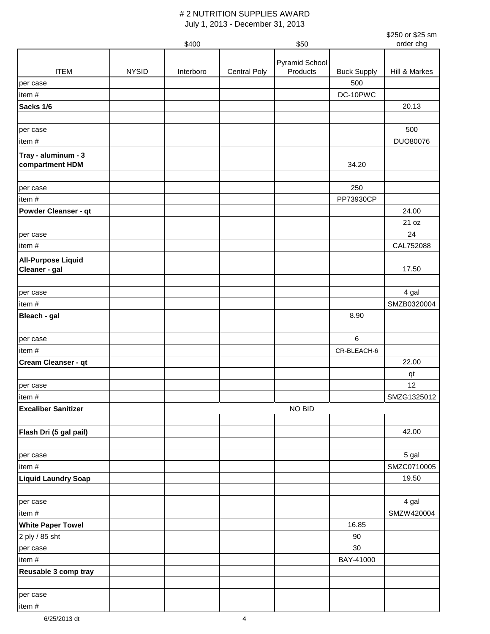|                                            |              |           |                     |                |                    | \$250 or \$25 sm    |
|--------------------------------------------|--------------|-----------|---------------------|----------------|--------------------|---------------------|
|                                            |              | \$400     |                     | \$50           |                    | order chg           |
|                                            |              |           |                     | Pyramid School |                    |                     |
| <b>ITEM</b>                                | <b>NYSID</b> | Interboro | <b>Central Poly</b> | Products       | <b>Buck Supply</b> | Hill & Markes       |
| per case                                   |              |           |                     |                | 500                |                     |
| item#                                      |              |           |                     |                | DC-10PWC           |                     |
| Sacks 1/6                                  |              |           |                     |                |                    | 20.13               |
|                                            |              |           |                     |                |                    |                     |
| per case                                   |              |           |                     |                |                    | 500                 |
| item#                                      |              |           |                     |                |                    | DUO80076            |
| Tray - aluminum - 3                        |              |           |                     |                |                    |                     |
| compartment HDM                            |              |           |                     |                | 34.20              |                     |
|                                            |              |           |                     |                |                    |                     |
| per case                                   |              |           |                     |                | 250                |                     |
| item#                                      |              |           |                     |                | PP73930CP          |                     |
| <b>Powder Cleanser - qt</b>                |              |           |                     |                |                    | 24.00               |
|                                            |              |           |                     |                |                    | 21 oz               |
| per case                                   |              |           |                     |                |                    | 24                  |
| item#                                      |              |           |                     |                |                    | CAL752088           |
| <b>All-Purpose Liquid</b>                  |              |           |                     |                |                    |                     |
| Cleaner - gal                              |              |           |                     |                |                    | 17.50               |
|                                            |              |           |                     |                |                    |                     |
| per case                                   |              |           |                     |                |                    | 4 gal               |
| item#                                      |              |           |                     |                |                    | SMZB0320004         |
| Bleach - gal                               |              |           |                     |                | 8.90               |                     |
|                                            |              |           |                     |                |                    |                     |
| per case                                   |              |           |                     |                | $6\phantom{1}$     |                     |
| item#                                      |              |           |                     |                | CR-BLEACH-6        |                     |
| Cream Cleanser - qt                        |              |           |                     |                |                    | 22.00               |
|                                            |              |           |                     |                |                    | qt                  |
| per case                                   |              |           |                     |                |                    | 12                  |
| item #                                     |              |           |                     |                |                    | SMZG1325012         |
| <b>Excaliber Sanitizer</b>                 |              |           |                     | NO BID         |                    |                     |
|                                            |              |           |                     |                |                    |                     |
| Flash Dri (5 gal pail)                     |              |           |                     |                |                    | 42.00               |
|                                            |              |           |                     |                |                    |                     |
| per case                                   |              |           |                     |                |                    | 5 gal               |
| item#                                      |              |           |                     |                |                    | SMZC0710005         |
| <b>Liquid Laundry Soap</b>                 |              |           |                     |                |                    | 19.50               |
|                                            |              |           |                     |                |                    |                     |
| per case<br>item#                          |              |           |                     |                |                    | 4 gal<br>SMZW420004 |
|                                            |              |           |                     |                | 16.85              |                     |
| <b>White Paper Towel</b><br>2 ply / 85 sht |              |           |                     |                | 90                 |                     |
|                                            |              |           |                     |                | 30                 |                     |
| per case<br>item #                         |              |           |                     |                | BAY-41000          |                     |
| Reusable 3 comp tray                       |              |           |                     |                |                    |                     |
|                                            |              |           |                     |                |                    |                     |
| per case                                   |              |           |                     |                |                    |                     |
| item#                                      |              |           |                     |                |                    |                     |
|                                            |              |           |                     |                |                    |                     |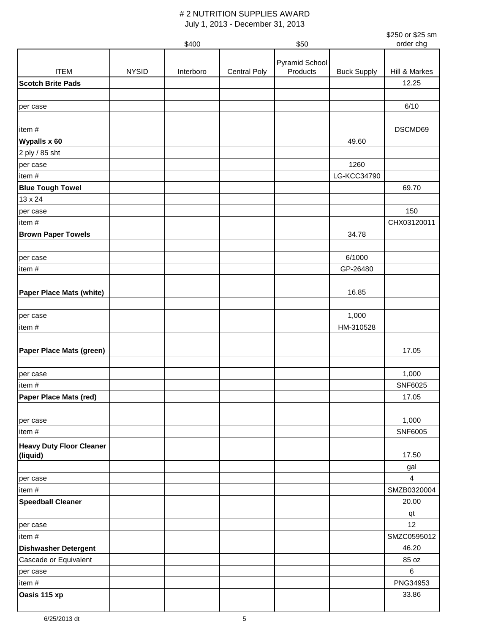| \$250 or \$25 sm<br>order chg |
|-------------------------------|
|                               |

|                                             |              | \$400     |                     | \$50                       |                    | order chg                      |
|---------------------------------------------|--------------|-----------|---------------------|----------------------------|--------------------|--------------------------------|
|                                             |              |           |                     |                            |                    |                                |
| <b>ITEM</b>                                 | <b>NYSID</b> | Interboro | <b>Central Poly</b> | Pyramid School<br>Products | <b>Buck Supply</b> | Hill & Markes                  |
| <b>Scotch Brite Pads</b>                    |              |           |                     |                            |                    | 12.25                          |
|                                             |              |           |                     |                            |                    |                                |
|                                             |              |           |                     |                            |                    |                                |
| per case                                    |              |           |                     |                            |                    | 6/10                           |
|                                             |              |           |                     |                            |                    |                                |
| item#                                       |              |           |                     |                            |                    | DSCMD69                        |
| Wypalls x 60                                |              |           |                     |                            | 49.60              |                                |
| 2 ply / 85 sht                              |              |           |                     |                            |                    |                                |
| per case                                    |              |           |                     |                            | 1260               |                                |
| item#                                       |              |           |                     |                            | LG-KCC34790        |                                |
| <b>Blue Tough Towel</b>                     |              |           |                     |                            |                    | 69.70                          |
| 13 x 24                                     |              |           |                     |                            |                    |                                |
| per case                                    |              |           |                     |                            |                    | 150                            |
| item#                                       |              |           |                     |                            |                    | CHX03120011                    |
| <b>Brown Paper Towels</b>                   |              |           |                     |                            | 34.78              |                                |
|                                             |              |           |                     |                            |                    |                                |
| per case                                    |              |           |                     |                            | 6/1000             |                                |
| item#                                       |              |           |                     |                            | GP-26480           |                                |
|                                             |              |           |                     |                            |                    |                                |
| <b>Paper Place Mats (white)</b>             |              |           |                     |                            | 16.85              |                                |
|                                             |              |           |                     |                            |                    |                                |
| per case                                    |              |           |                     |                            | 1,000              |                                |
| item#                                       |              |           |                     |                            | HM-310528          |                                |
|                                             |              |           |                     |                            |                    |                                |
| Paper Place Mats (green)                    |              |           |                     |                            |                    | 17.05                          |
|                                             |              |           |                     |                            |                    |                                |
| per case                                    |              |           |                     |                            |                    | 1,000                          |
| item#                                       |              |           |                     |                            |                    | SNF6025                        |
| Paper Place Mats (red)                      |              |           |                     |                            |                    | 17.05                          |
|                                             |              |           |                     |                            |                    |                                |
| per case                                    |              |           |                     |                            |                    | 1,000                          |
| item#                                       |              |           |                     |                            |                    | SNF6005                        |
|                                             |              |           |                     |                            |                    |                                |
| <b>Heavy Duty Floor Cleaner</b><br>(liquid) |              |           |                     |                            |                    | 17.50                          |
|                                             |              |           |                     |                            |                    |                                |
|                                             |              |           |                     |                            |                    | gal<br>$\overline{\mathbf{4}}$ |
| per case                                    |              |           |                     |                            |                    |                                |
| item#                                       |              |           |                     |                            |                    | SMZB0320004                    |
| <b>Speedball Cleaner</b>                    |              |           |                     |                            |                    | 20.00                          |
|                                             |              |           |                     |                            |                    | qt                             |
| per case                                    |              |           |                     |                            |                    | 12                             |
| item#                                       |              |           |                     |                            |                    | SMZC0595012                    |
| <b>Dishwasher Detergent</b>                 |              |           |                     |                            |                    | 46.20                          |
| Cascade or Equivalent                       |              |           |                     |                            |                    | 85 oz                          |
| per case                                    |              |           |                     |                            |                    | 6                              |
| item#                                       |              |           |                     |                            |                    | PNG34953                       |
| Oasis 115 xp                                |              |           |                     |                            |                    | 33.86                          |
|                                             |              |           |                     |                            |                    |                                |